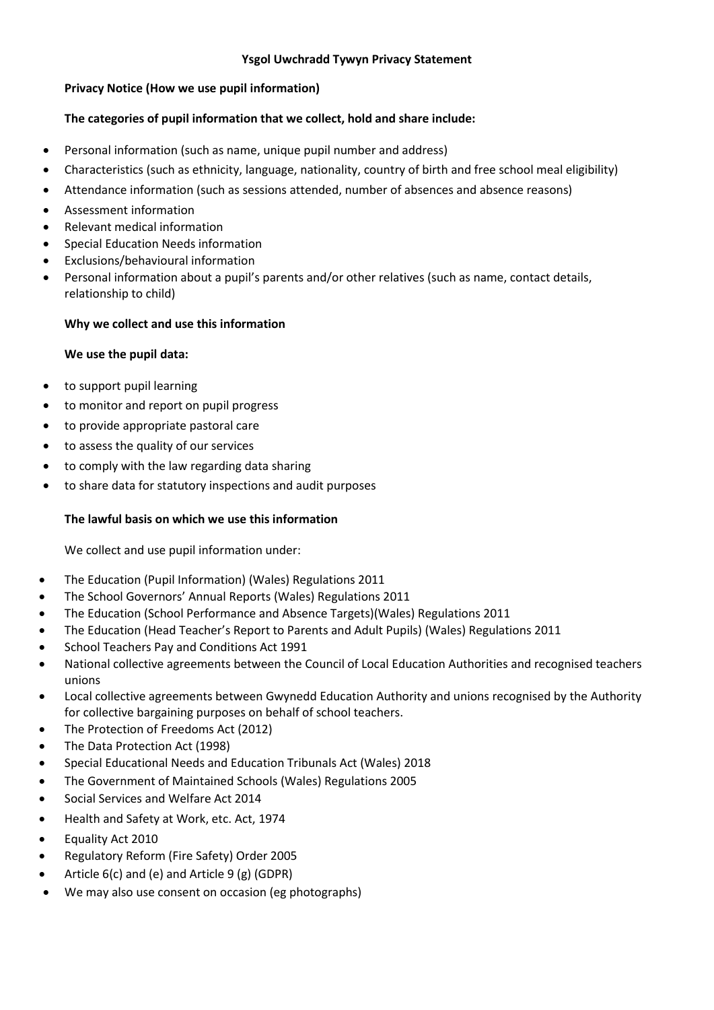# **Ysgol Uwchradd Tywyn Privacy Statement**

# **Privacy Notice (How we use pupil information)**

# **The categories of pupil information that we collect, hold and share include:**

- Personal information (such as name, unique pupil number and address)
- Characteristics (such as ethnicity, language, nationality, country of birth and free school meal eligibility)
- Attendance information (such as sessions attended, number of absences and absence reasons)
- Assessment information
- Relevant medical information
- Special Education Needs information
- Exclusions/behavioural information
- Personal information about a pupil's parents and/or other relatives (such as name, contact details, relationship to child)

#### **Why we collect and use this information**

#### **We use the pupil data:**

- to support pupil learning
- to monitor and report on pupil progress
- to provide appropriate pastoral care
- to assess the quality of our services
- to comply with the law regarding data sharing
- to share data for statutory inspections and audit purposes

#### **The lawful basis on which we use this information**

We collect and use pupil information under:

- The Education (Pupil Information) (Wales) Regulations 2011
- The School Governors' Annual Reports (Wales) Regulations 2011
- The Education (School Performance and Absence Targets)(Wales) Regulations 2011
- The Education (Head Teacher's Report to Parents and Adult Pupils) (Wales) Regulations 2011
- School Teachers Pay and Conditions Act 1991
- National collective agreements between the Council of Local Education Authorities and recognised teachers unions
- Local collective agreements between Gwynedd Education Authority and unions recognised by the Authority for collective bargaining purposes on behalf of school teachers.
- The Protection of Freedoms Act (2012)
- The Data Protection Act (1998)
- Special Educational Needs and Education Tribunals Act (Wales) 2018
- The Government of Maintained Schools (Wales) Regulations 2005
- Social Services and Welfare Act 2014
- Health and Safety at Work, etc. Act, 1974
- Equality Act 2010
- Regulatory Reform (Fire Safety) Order 2005
- Article 6(c) and (e) and Article 9 (g) (GDPR)
- We may also use consent on occasion (eg photographs)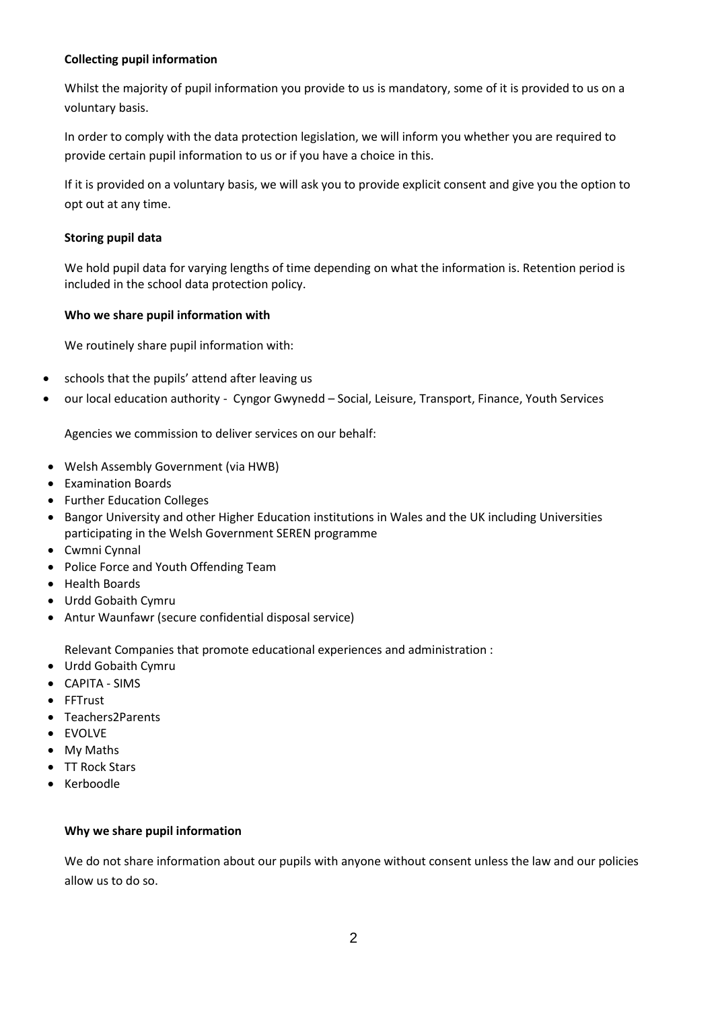# **Collecting pupil information**

Whilst the majority of pupil information you provide to us is mandatory, some of it is provided to us on a voluntary basis.

In order to comply with the data protection legislation, we will inform you whether you are required to provide certain pupil information to us or if you have a choice in this.

If it is provided on a voluntary basis, we will ask you to provide explicit consent and give you the option to opt out at any time.

### **Storing pupil data**

We hold pupil data for varying lengths of time depending on what the information is. Retention period is included in the school data protection policy.

## **Who we share pupil information with**

We routinely share pupil information with:

- schools that the pupils' attend after leaving us
- our local education authority Cyngor Gwynedd Social, Leisure, Transport, Finance, Youth Services

Agencies we commission to deliver services on our behalf:

- Welsh Assembly Government (via HWB)
- Examination Boards
- Further Education Colleges
- Bangor University and other Higher Education institutions in Wales and the UK including Universities participating in the Welsh Government SEREN programme
- Cwmni Cynnal
- Police Force and Youth Offending Team
- Health Boards
- Urdd Gobaith Cymru
- Antur Waunfawr (secure confidential disposal service)

Relevant Companies that promote educational experiences and administration :

- Urdd Gobaith Cymru
- CAPITA SIMS
- FFTrust
- Teachers2Parents
- **•** FVOLVF
- My Maths
- TT Rock Stars
- Kerboodle

#### **Why we share pupil information**

We do not share information about our pupils with anyone without consent unless the law and our policies allow us to do so.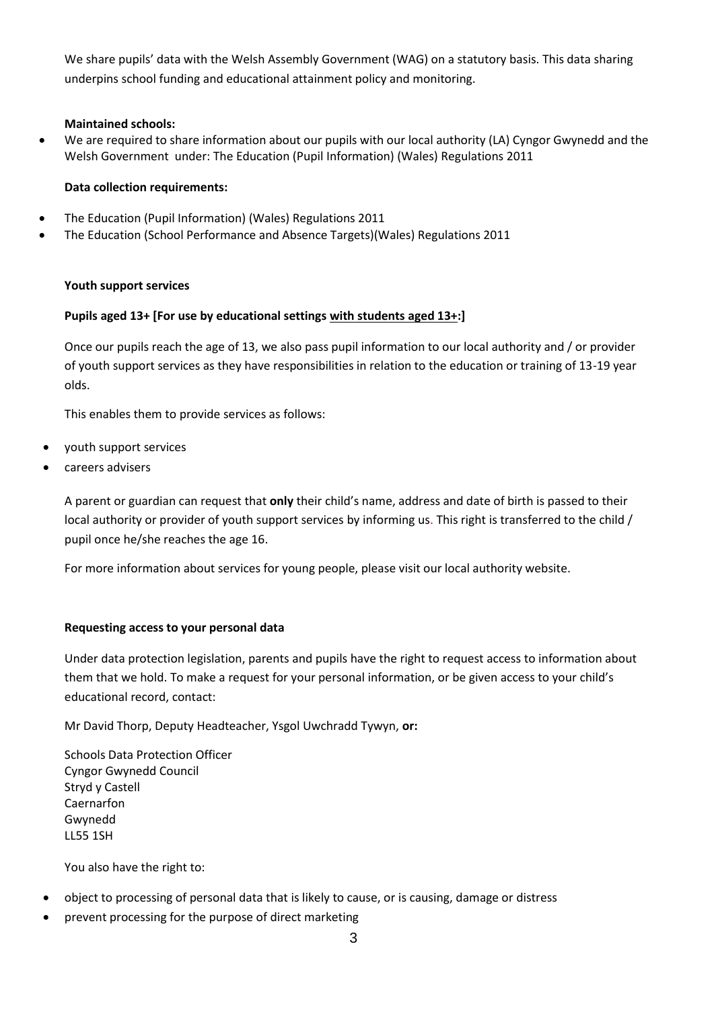We share pupils' data with the Welsh Assembly Government (WAG) on a statutory basis. This data sharing underpins school funding and educational attainment policy and monitoring.

## **Maintained schools:**

 We are required to share information about our pupils with our local authority (LA) Cyngor Gwynedd and the Welsh Government under: The Education (Pupil Information) (Wales) Regulations 2011

## **Data collection requirements:**

- The Education (Pupil Information) (Wales) Regulations 2011
- The Education (School Performance and Absence Targets)(Wales) Regulations 2011

## **Youth support services**

## **Pupils aged 13+ [For use by educational settings with students aged 13+:]**

Once our pupils reach the age of 13, we also pass pupil information to our local authority and / or provider of youth support services as they have responsibilities in relation to the education or training of 13-19 year olds.

This enables them to provide services as follows:

- youth support services
- careers advisers

A parent or guardian can request that **only** their child's name, address and date of birth is passed to their local authority or provider of youth support services by informing us. This right is transferred to the child / pupil once he/she reaches the age 16.

For more information about services for young people, please visit our local authority website.

#### **Requesting access to your personal data**

Under data protection legislation, parents and pupils have the right to request access to information about them that we hold. To make a request for your personal information, or be given access to your child's educational record, contact:

Mr David Thorp, Deputy Headteacher, Ysgol Uwchradd Tywyn, **or:**

Schools Data Protection Officer Cyngor Gwynedd Council Stryd y Castell Caernarfon Gwynedd LL55 1SH

You also have the right to:

- object to processing of personal data that is likely to cause, or is causing, damage or distress
- prevent processing for the purpose of direct marketing